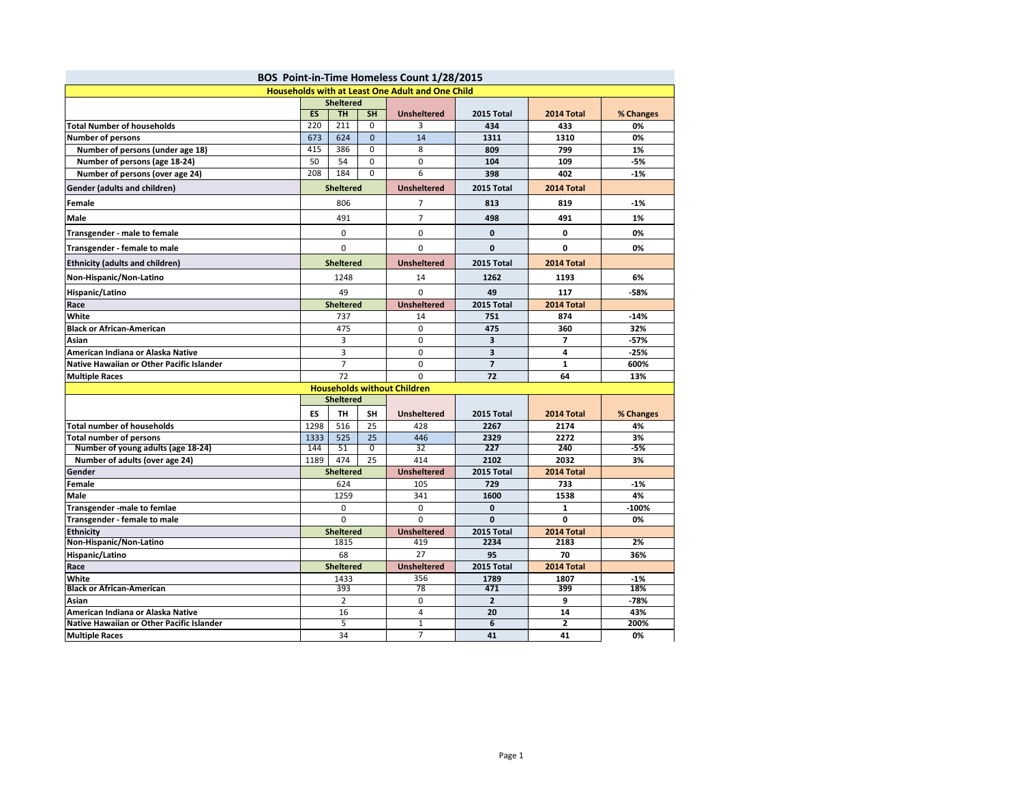| BOS Point-in-Time Homeless Count 1/28/2015              |                              |                  |                    |                    |                |                         |           |  |  |  |
|---------------------------------------------------------|------------------------------|------------------|--------------------|--------------------|----------------|-------------------------|-----------|--|--|--|
| <b>Households with at Least One Adult and One Child</b> |                              |                  |                    |                    |                |                         |           |  |  |  |
|                                                         |                              | <b>Sheltered</b> |                    |                    |                |                         |           |  |  |  |
|                                                         | ES                           | <b>TH</b>        | <b>SH</b>          | <b>Unsheltered</b> | 2015 Total     | 2014 Total              | % Changes |  |  |  |
| <b>Total Number of households</b>                       | 220                          | 211              | $\Omega$           | 3                  | 434            | 433                     | 0%        |  |  |  |
| <b>Number of persons</b>                                | 673                          | 624              | $\Omega$           | 14                 | 1311           | 1310                    | 0%        |  |  |  |
| Number of persons (under age 18)                        | 415                          | 386              | $\mathbf 0$        | 8                  | 809            | 799                     | 1%        |  |  |  |
| Number of persons (age 18-24)                           | 50                           | 54               | $\Omega$           | $\pmb{0}$          | 104            | 109                     | $-5%$     |  |  |  |
| Number of persons (over age 24)                         | 208                          | 184              | $\Omega$           | 6                  | 398            | 402                     | $-1%$     |  |  |  |
| <b>Gender (adults and children)</b>                     | <b>Sheltered</b>             |                  |                    | <b>Unsheltered</b> | 2015 Total     | 2014 Total              |           |  |  |  |
| Female                                                  | 806                          |                  |                    | 7                  | 813            | 819                     | $-1%$     |  |  |  |
| <b>Male</b>                                             |                              | 491              |                    | 7                  | 498            | 491                     | 1%        |  |  |  |
| Transgender - male to female                            |                              | 0                |                    | 0                  | $\mathbf 0$    | 0                       | 0%        |  |  |  |
| <b>Transgender - female to male</b>                     | 0                            |                  |                    | 0                  | $\mathbf 0$    | $\mathbf 0$             | 0%        |  |  |  |
| <b>Ethnicity (adults and children)</b>                  |                              | <b>Sheltered</b> |                    | <b>Unsheltered</b> | 2015 Total     | 2014 Total              |           |  |  |  |
| Non-Hispanic/Non-Latino                                 | 1248                         |                  |                    | 14                 | 1262           | 1193                    | 6%        |  |  |  |
| Hispanic/Latino                                         | 49                           |                  |                    | 0                  | 49             | 117                     | $-58%$    |  |  |  |
| Race                                                    | <b>Sheltered</b>             |                  |                    | <b>Unsheltered</b> | 2015 Total     | 2014 Total              |           |  |  |  |
| White                                                   | 737                          |                  |                    | 14                 | 751            | 874                     | $-14%$    |  |  |  |
| <b>Black or African-American</b>                        |                              | 475              |                    | 0                  | 475            | 360                     | 32%       |  |  |  |
| <b>Asian</b>                                            | 3                            |                  |                    | $\pmb{0}$          | 3              | $\overline{\mathbf{z}}$ | $-57%$    |  |  |  |
| American Indiana or Alaska Native                       | 3                            |                  |                    | 0                  | 3              | 4                       | $-25%$    |  |  |  |
| Native Hawaiian or Other Pacific Islander               | $\overline{7}$               |                  |                    | 0                  | $\overline{7}$ | $\mathbf{1}$            | 600%      |  |  |  |
| <b>Multiple Races</b>                                   |                              | 72               |                    | $\Omega$           | 72             | 64                      | 13%       |  |  |  |
| <b>Households without Children</b>                      |                              |                  |                    |                    |                |                         |           |  |  |  |
|                                                         |                              | <b>Sheltered</b> |                    |                    |                |                         |           |  |  |  |
|                                                         | <b>TH</b><br><b>SH</b><br>ES |                  | <b>Unsheltered</b> | 2015 Total         | 2014 Total     | % Changes               |           |  |  |  |
| <b>Total number of households</b>                       | 1298                         | 516              | 25                 | 428                | 2267           | 2174                    | 4%        |  |  |  |
| <b>Total number of persons</b>                          | 1333                         | 525              | 25                 | 446                | 2329           | 2272                    | 3%        |  |  |  |
| Number of young adults (age 18-24)                      | 144                          | 51               | $\Omega$           | 32                 | 227            | 240                     | $-5%$     |  |  |  |
| Number of adults (over age 24)                          | 1189                         | 474              | 25                 | 414                | 2102           | 2032                    | 3%        |  |  |  |
| Gender                                                  |                              | <b>Sheltered</b> |                    | <b>Unsheltered</b> | 2015 Total     | 2014 Total              |           |  |  |  |
| Female                                                  |                              | 624              |                    | 105                | 729            | 733                     | $-1%$     |  |  |  |
| <b>Male</b>                                             |                              | 1259             |                    | 341                | 1600           | 1538                    | 4%        |  |  |  |
| <b>Transgender -male to femlae</b>                      |                              | 0                |                    | $\mathbf 0$        | $\mathbf 0$    | $\mathbf{1}$            | $-100%$   |  |  |  |
| <b>Transgender - female to male</b>                     |                              | 0                |                    | $\mathbf 0$        | $\mathbf 0$    | $\mathbf 0$             | 0%        |  |  |  |
| <b>Ethnicity</b>                                        |                              | <b>Sheltered</b> |                    | <b>Unsheltered</b> | 2015 Total     | 2014 Total              |           |  |  |  |
| Non-Hispanic/Non-Latino                                 | 1815                         |                  |                    | 419                | 2234           | 2183                    | 2%        |  |  |  |
| Hispanic/Latino                                         | 68                           |                  |                    | 27                 | 95             | 70                      | 36%       |  |  |  |
| Race                                                    | <b>Sheltered</b>             |                  |                    | <b>Unsheltered</b> | 2015 Total     | 2014 Total              |           |  |  |  |
| White                                                   | 1433                         |                  |                    | 356                | 1789           | 1807                    | $-1%$     |  |  |  |
| <b>Black or African-American</b>                        |                              | 393              |                    | 78                 | 471            | 399                     | 18%       |  |  |  |
| Asian                                                   |                              | $\overline{2}$   |                    | $\mathbf 0$        | $2^{\circ}$    | 9                       | $-78%$    |  |  |  |
| American Indiana or Alaska Native                       |                              | 16               |                    | 4                  | 20             | 14                      | 43%       |  |  |  |
| Native Hawaiian or Other Pacific Islander               |                              | $\overline{5}$   |                    | $\mathbf{1}$       | 6              | $\overline{2}$          | 200%      |  |  |  |
| <b>Multiple Races</b>                                   |                              | 34               |                    | $\overline{7}$     | 41             | 41                      | 0%        |  |  |  |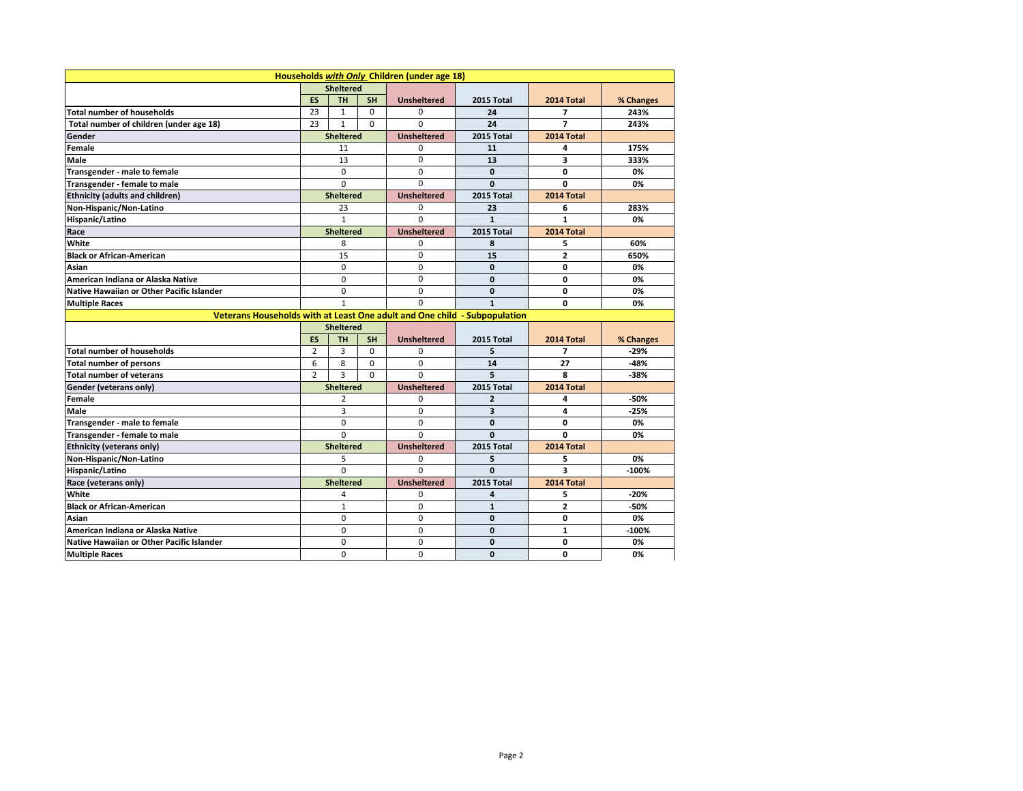| Households with Only Children (under age 18)                              |                  |                  |             |                    |                         |                |           |  |  |
|---------------------------------------------------------------------------|------------------|------------------|-------------|--------------------|-------------------------|----------------|-----------|--|--|
|                                                                           | <b>Sheltered</b> |                  |             |                    |                         |                |           |  |  |
|                                                                           | <b>ES</b>        | <b>TH</b>        | <b>SH</b>   | <b>Unsheltered</b> | 2015 Total              | 2014 Total     | % Changes |  |  |
| <b>Total number of households</b>                                         | 23               | 1                | $\mathbf 0$ | 0                  | 24                      | 7              | 243%      |  |  |
| Total number of children (under age 18)                                   | 23               | $\mathbf{1}$     | $\Omega$    | $\Omega$           | 24                      | $\overline{7}$ | 243%      |  |  |
| Gender                                                                    | <b>Sheltered</b> |                  |             | <b>Unsheltered</b> | 2015 Total              | 2014 Total     |           |  |  |
| Female                                                                    |                  | 11               |             | 0                  | <b>11</b>               | 4              | 175%      |  |  |
| <b>Male</b>                                                               |                  | 13               |             | 0                  | 13                      | 3              | 333%      |  |  |
| Transgender - male to female                                              |                  | 0                |             | 0                  | $\mathbf 0$             | $\mathbf 0$    | 0%        |  |  |
| Transgender - female to male                                              |                  | $\Omega$         |             | $\Omega$           | $\mathbf 0$             | $\mathbf{0}$   | 0%        |  |  |
| <b>Ethnicity (adults and children)</b>                                    |                  | <b>Sheltered</b> |             | <b>Unsheltered</b> | 2015 Total              | 2014 Total     |           |  |  |
| Non-Hispanic/Non-Latino                                                   | 23               |                  |             | 0                  | 23                      | 6              | 283%      |  |  |
| Hispanic/Latino                                                           |                  | $\mathbf{1}$     |             | $\Omega$           | $\mathbf{1}$            | 1              | 0%        |  |  |
| Race                                                                      |                  | <b>Sheltered</b> |             | <b>Unsheltered</b> | 2015 Total              | 2014 Total     |           |  |  |
| White                                                                     |                  | 8                |             | 0                  | 8                       | 5              | 60%       |  |  |
| <b>Black or African-American</b>                                          | 15               |                  |             | $\mathbf{0}$       | 15                      | $\overline{2}$ | 650%      |  |  |
| <b>Asian</b>                                                              | $\mathbf 0$      |                  |             | 0                  | $\mathbf 0$             | $\mathbf 0$    | 0%        |  |  |
| American Indiana or Alaska Native                                         | $\mathbf 0$      |                  |             | 0                  | $\mathbf 0$             | $\mathbf 0$    | 0%        |  |  |
| Native Hawaiian or Other Pacific Islander                                 | $\mathbf 0$      |                  |             | 0                  | $\mathbf 0$             | $\mathbf 0$    | 0%        |  |  |
| <b>Multiple Races</b>                                                     | $\mathbf{1}$     |                  |             | $\Omega$           | $\mathbf{1}$            | $\mathbf{0}$   | 0%        |  |  |
| Veterans Households with at Least One adult and One child - Subpopulation |                  |                  |             |                    |                         |                |           |  |  |
|                                                                           |                  | <b>Sheltered</b> |             |                    |                         |                |           |  |  |
|                                                                           | <b>ES</b>        | <b>TH</b>        | <b>SH</b>   | <b>Unsheltered</b> | 2015 Total              | 2014 Total     | % Changes |  |  |
| <b>Total number of households</b>                                         | $\overline{2}$   | 3                | $\Omega$    | 0                  | 5                       | 7              | $-29%$    |  |  |
| <b>Total number of persons</b>                                            | 6                | 8                | $\mathbf 0$ | 0                  | 14                      | 27             | $-48%$    |  |  |
| <b>Total number of veterans</b>                                           | 2                | $\overline{3}$   | $\Omega$    | $\Omega$           | 5                       | 8              | $-38%$    |  |  |
| <b>Gender (veterans only)</b>                                             |                  | <b>Sheltered</b> |             | <b>Unsheltered</b> | 2015 Total              | 2014 Total     |           |  |  |
| Female                                                                    |                  | $\overline{2}$   |             | 0                  | 2                       | 4              | $-50%$    |  |  |
| <b>Male</b>                                                               |                  | 3                |             | 0                  | $\overline{\mathbf{3}}$ | 4              | $-25%$    |  |  |
| Transgender - male to female                                              |                  | 0                |             | 0                  | 0                       | 0              | 0%        |  |  |
| Transgender - female to male                                              | $\mathbf{0}$     |                  |             | 0                  | $\mathbf 0$             | $\mathbf{0}$   | 0%        |  |  |
|                                                                           |                  |                  |             |                    |                         |                |           |  |  |
| <b>Ethnicity (veterans only)</b>                                          |                  | <b>Sheltered</b> |             | <b>Unsheltered</b> | 2015 Total              | 2014 Total     |           |  |  |
| Non-Hispanic/Non-Latino                                                   |                  | 5                |             | 0                  | 5                       | 5              | 0%        |  |  |
| Hispanic/Latino                                                           |                  | $\mathbf{0}$     |             | $\Omega$           | 0                       | 3              | $-100%$   |  |  |
| <b>Race (veterans only)</b>                                               |                  | <b>Sheltered</b> |             | <b>Unsheltered</b> | 2015 Total              | 2014 Total     |           |  |  |
| <b>White</b>                                                              |                  | 4                |             | 0                  | 4                       | 5              | $-20%$    |  |  |
| <b>Black or African-American</b>                                          |                  | $\mathbf{1}$     |             | 0                  | $\mathbf{1}$            | $\overline{2}$ | -50%      |  |  |
| Asian                                                                     |                  | 0                |             | $\mathbf 0$        | $\mathbf 0$             | $\mathbf 0$    | 0%        |  |  |
| American Indiana or Alaska Native                                         |                  | 0                |             | 0                  | $\mathbf 0$             | $\mathbf{1}$   | -100%     |  |  |
| Native Hawaiian or Other Pacific Islander                                 |                  | 0                |             | 0                  | $\mathbf 0$             | $\mathbf 0$    | 0%        |  |  |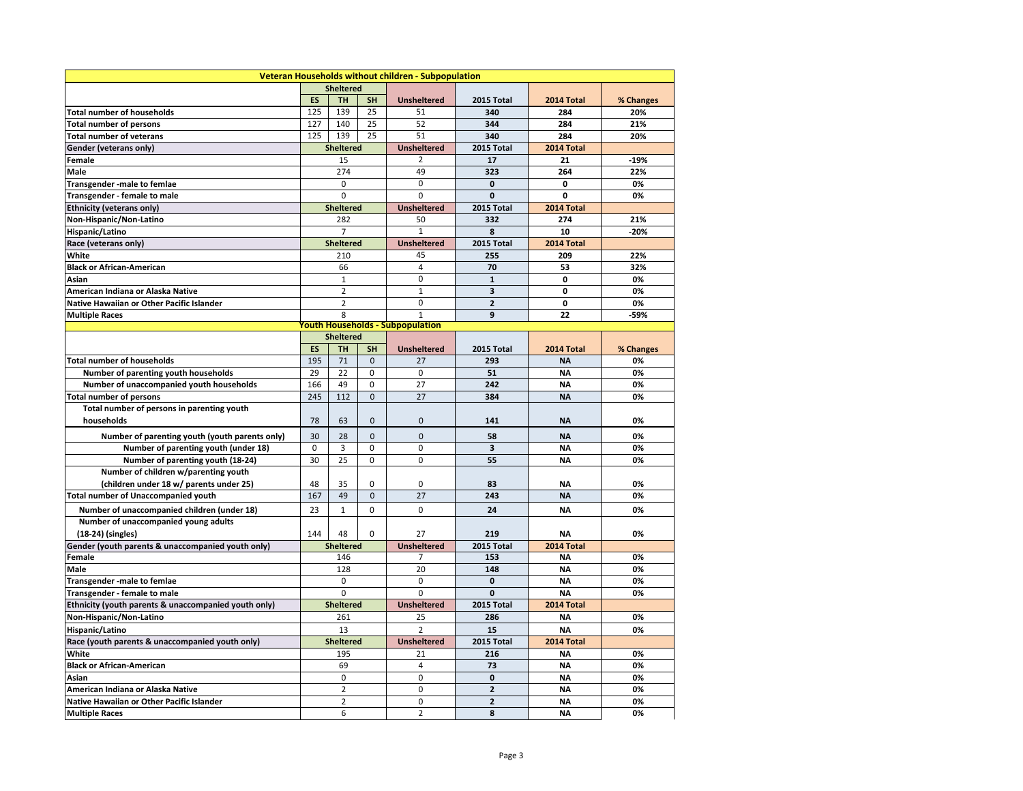| Veteran Households without children - Subpopulation  |           |                  |             |                                         |                         |              |           |  |  |
|------------------------------------------------------|-----------|------------------|-------------|-----------------------------------------|-------------------------|--------------|-----------|--|--|
|                                                      |           | <b>Sheltered</b> |             |                                         |                         |              |           |  |  |
|                                                      | <b>ES</b> | <b>TH</b>        | <b>SH</b>   | <b>Unsheltered</b>                      | 2015 Total              | 2014 Total   | % Changes |  |  |
| <b>Total number of households</b>                    | 125       | 139              | 25          | 51                                      | 340                     | 284          | 20%       |  |  |
| <b>Total number of persons</b>                       | 127       | 140              | 25          | 52                                      | 344                     | 284          | 21%       |  |  |
| <b>Total number of veterans</b>                      | 125       | 139              | 25          | 51                                      | 340                     | 284          | 20%       |  |  |
| <b>Gender (veterans only)</b>                        |           | <b>Sheltered</b> |             | <b>Unsheltered</b>                      | 2015 Total              | 2014 Total   |           |  |  |
| Female                                               |           | 15               |             | 2                                       | 17                      | 21           | $-19%$    |  |  |
| <b>Male</b>                                          |           | 274              |             | 49                                      | 323                     | 264          | 22%       |  |  |
| <b>Transgender -male to femlae</b>                   |           | 0                |             | $\mathbf{0}$                            | $\mathbf{0}$            | $\mathbf{0}$ | 0%        |  |  |
| Transgender - female to male                         |           | $\Omega$         |             | $\Omega$                                | $\Omega$                | $\Omega$     | 0%        |  |  |
| <b>Ethnicity (veterans only)</b>                     |           | <b>Sheltered</b> |             | <b>Unsheltered</b>                      | 2015 Total              | 2014 Total   |           |  |  |
| Non-Hispanic/Non-Latino                              |           | 282              |             | 50                                      | 332                     | 274          | 21%       |  |  |
| Hispanic/Latino                                      |           | $\overline{7}$   |             | 1                                       | 8                       | 10           | $-20%$    |  |  |
| <b>Race (veterans only)</b>                          |           | <b>Sheltered</b> |             | <b>Unsheltered</b>                      | 2015 Total              | 2014 Total   |           |  |  |
| <b>White</b>                                         |           | 210              |             | 45                                      | 255                     | 209          | 22%       |  |  |
| <b>Black or African-American</b>                     |           | 66               |             | 4                                       | 70                      | 53           | 32%       |  |  |
| <b>Asian</b>                                         |           | $\mathbf{1}$     |             | 0                                       | $\mathbf{1}$            | $\mathbf 0$  | 0%        |  |  |
| American Indiana or Alaska Native                    |           | $\overline{2}$   |             | $\mathbf{1}$                            | 3                       | $\mathbf 0$  | 0%        |  |  |
| Native Hawaiian or Other Pacific Islander            |           | $\overline{2}$   |             | 0                                       | $\overline{2}$          | $\mathbf 0$  | 0%        |  |  |
| <b>Multiple Races</b>                                |           | 8                |             | 1                                       | 9                       | 22           | $-59%$    |  |  |
|                                                      |           |                  |             | <b>Youth Households - Subpopulation</b> |                         |              |           |  |  |
|                                                      |           | <b>Sheltered</b> |             |                                         |                         |              |           |  |  |
|                                                      | ES        | <b>TH</b>        | <b>SH</b>   | <b>Unsheltered</b>                      | 2015 Total              | 2014 Total   | % Changes |  |  |
| <b>Total number of households</b>                    | 195       | 71               | $\Omega$    | 27                                      | 293                     | <b>NA</b>    | 0%        |  |  |
| Number of parenting youth households                 | 29        | 22               | 0           | $\mathbf{0}$                            | 51                      | <b>NA</b>    | 0%        |  |  |
| Number of unaccompanied youth households             | 166       | 49               | $\mathbf 0$ | 27                                      | 242                     | <b>NA</b>    | 0%        |  |  |
| <b>Total number of persons</b>                       | 245       | 112              | $\Omega$    | 27                                      | 384                     | <b>NA</b>    | 0%        |  |  |
| Total number of persons in parenting youth           |           |                  |             |                                         |                         |              |           |  |  |
| households                                           | 78        | 63               | $\Omega$    | 0                                       | 141                     | <b>NA</b>    | 0%        |  |  |
| Number of parenting youth (youth parents only)       | 30        | 28               | $\Omega$    | $\Omega$                                | 58                      | <b>NA</b>    | 0%        |  |  |
| Number of parenting youth (under 18)                 | $\Omega$  | $\overline{3}$   | $\Omega$    | 0                                       | $\overline{\mathbf{3}}$ | <b>NA</b>    | 0%        |  |  |
| Number of parenting youth (18-24)                    | 30        | 25               | 0           | 0                                       | 55                      | <b>NA</b>    | 0%        |  |  |
| Number of children w/parenting youth                 |           |                  |             |                                         |                         |              |           |  |  |
| (children under 18 w/ parents under 25)              | 48        | 35               | 0           | 0                                       | 83                      | <b>NA</b>    | 0%        |  |  |
| <b>Total number of Unaccompanied youth</b>           | 167       | 49               | 0           | 27                                      | 243                     | <b>NA</b>    | 0%        |  |  |
| Number of unaccompanied children (under 18)          | 23        | $\mathbf{1}$     | 0           | $\mathbf{0}$                            | 24                      | <b>NA</b>    | 0%        |  |  |
| Number of unaccompanied young adults                 |           |                  |             |                                         |                         |              |           |  |  |
| $(18-24)$ (singles)                                  | 144       | 48               | 0           | 27                                      | 219                     | <b>NA</b>    | 0%        |  |  |
| Gender (youth parents & unaccompanied youth only)    |           | <b>Sheltered</b> |             | <b>Unsheltered</b>                      | 2015 Total              | 2014 Total   |           |  |  |
| Female                                               |           | 146              |             | 7                                       | 153                     | <b>NA</b>    | 0%        |  |  |
| <b>Male</b>                                          |           | 128              |             | 20                                      | 148                     | <b>NA</b>    | 0%        |  |  |
| <b>Transgender -male to femlae</b>                   |           | 0                |             | 0                                       | $\mathbf 0$             | <b>NA</b>    | 0%        |  |  |
| Transgender - female to male                         |           | $\mathbf 0$      |             | $\Omega$                                | $\mathbf{0}$            | <b>NA</b>    | 0%        |  |  |
| Ethnicity (youth parents & unaccompanied youth only) |           | <b>Sheltered</b> |             | <b>Unsheltered</b>                      | 2015 Total              | 2014 Total   |           |  |  |
| Non-Hispanic/Non-Latino                              |           | 261              |             | 25                                      | 286                     | <b>NA</b>    | 0%        |  |  |
| Hispanic/Latino                                      | 13        |                  |             | $\overline{2}$                          | 15                      | <b>NA</b>    | 0%        |  |  |
| Race (youth parents & unaccompanied youth only)      |           | <b>Sheltered</b> |             | <b>Unsheltered</b>                      | 2015 Total              | 2014 Total   |           |  |  |
| White                                                |           | 195              |             | 21                                      | 216                     | <b>NA</b>    | 0%        |  |  |
| <b>Black or African-American</b>                     |           | 69               |             | 4                                       | 73                      | <b>NA</b>    | 0%        |  |  |
| <b>Asian</b>                                         |           | 0                |             | $\mathbf 0$                             | $\mathbf 0$             | <b>NA</b>    | 0%        |  |  |
| American Indiana or Alaska Native                    |           | $\overline{2}$   |             | $\mathbf 0$                             | $\overline{2}$          | <b>NA</b>    | 0%        |  |  |
| Native Hawaiian or Other Pacific Islander            |           | $\overline{2}$   |             | 0                                       | $\overline{2}$          | <b>NA</b>    | 0%        |  |  |
| <b>Multiple Races</b>                                |           | 6                |             | $\overline{2}$                          | $\pmb{8}$               | <b>NA</b>    | 0%        |  |  |